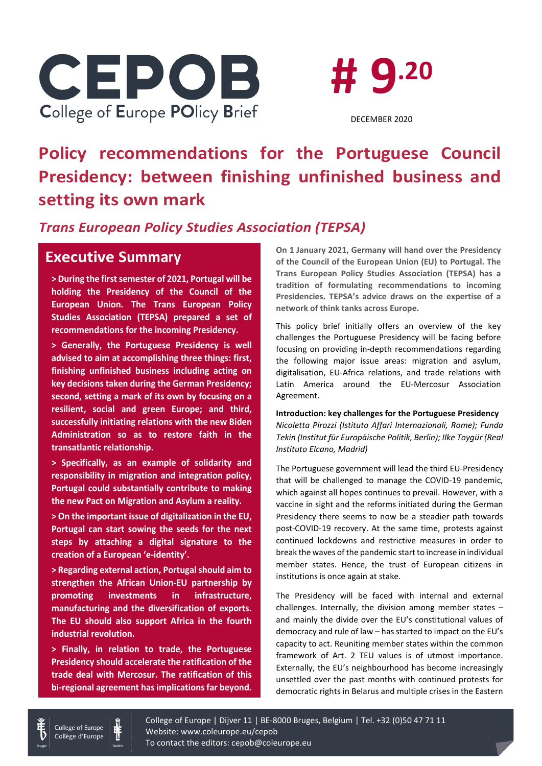



DECEMBER 2020

# **Policy recommendations for the Portuguese Council Presidency: between finishing unfinished business and setting its own mark**

### *Trans European Policy Studies Association (TEPSA)*

## **Executive Summary**

**> During the first semester of 2021, Portugal will be holding the Presidency of the Council of the European Union. The Trans European Policy Studies Association (TEPSA) prepared a set of recommendations for the incoming Presidency.**

**> Generally, the Portuguese Presidency is well advised to aim at accomplishing three things: first, finishing unfinished business including acting on key decisions taken during the German Presidency; second, setting a mark of its own by focusing on a resilient, social and green Europe; and third, successfully initiating relations with the new Biden Administration so as to restore faith in the transatlantic relationship.**

**> Specifically, as an example of solidarity and responsibility in migration and integration policy, Portugal could substantially contribute to making the new Pact on Migration and Asylum a reality.**

**> On the important issue of digitalization in the EU, Portugal can start sowing the seeds for the next steps by attaching a digital signature to the creation of a European 'e-identity'.**

**> Regarding external action, Portugal should aim to strengthen the African Union-EU partnership by promoting investments in infrastructure, manufacturing and the diversification of exports. The EU should also support Africa in the fourth industrial revolution.**

**> Finally, in relation to trade, the Portuguese Presidency should accelerate the ratification of the trade deal with Mercosur. The ratification of this bi-regional agreement has implications far beyond.** 

**On 1 January 2021, Germany will hand over the Presidency of the Council of the European Union (EU) to Portugal. The Trans European Policy Studies Association (TEPSA) has a tradition of formulating recommendations to incoming Presidencies. TEPSA's advice draws on the expertise of a network of think tanks across Europe.**

This policy brief initially offers an overview of the key challenges the Portuguese Presidency will be facing before focusing on providing in-depth recommendations regarding the following major issue areas: migration and asylum, digitalisation, EU-Africa relations, and trade relations with Latin America around the EU-Mercosur Association Agreement.

**Introduction: key challenges for the Portuguese Presidency** *Nicoletta Pirozzi (Istituto Affari Internazionali, Rome); Funda Tekin (Institut für Europäische Politik, Berlin); Ilke Toygür (Real Instituto Elcano, Madrid)*

The Portuguese government will lead the third EU-Presidency that will be challenged to manage the COVID-19 pandemic, which against all hopes continues to prevail. However, with a vaccine in sight and the reforms initiated during the German Presidency there seems to now be a steadier path towards post-COVID-19 recovery. At the same time, protests against continued lockdowns and restrictive measures in order to break the waves of the pandemic start to increase in individual member states. Hence, the trust of European citizens in institutions is once again at stake.

The Presidency will be faced with internal and external challenges. Internally, the division among member states – and mainly the divide over the EU's constitutional values of democracy and rule of law – has started to impact on the EU's capacity to act. Reuniting member states within the common framework of Art. 2 TEU values is of utmost importance. Externally, the EU's neighbourhood has become increasingly unsettled over the past months with continued protests for democratic rights in Belarus and multiple crises in the Eastern



College of Europe | Dijver 11 | BE-8000 Bruges, Belgium | Tel. +32 (0)50 47 71 11 Website: www.coleurope.eu/cepob To contact the editors: cepob@coleurope.eu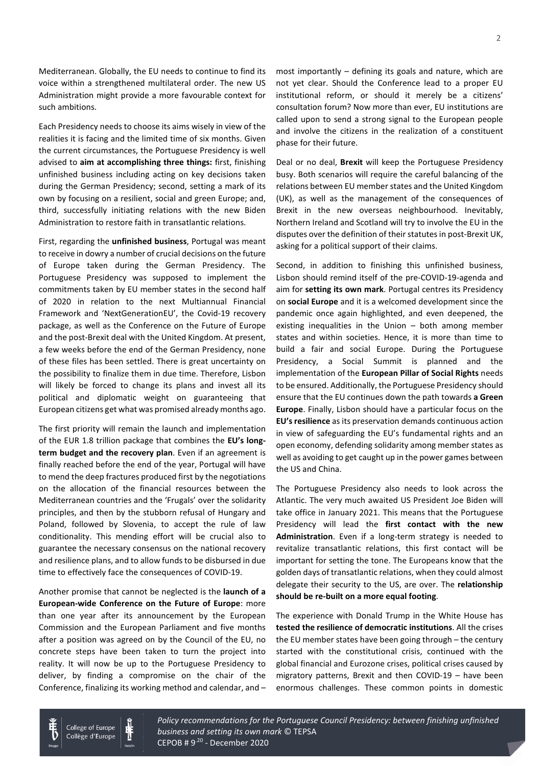Mediterranean. Globally, the EU needs to continue to find its voice within a strengthened multilateral order. The new US Administration might provide a more favourable context for such ambitions.

Each Presidency needs to choose its aims wisely in view of the realities it is facing and the limited time of six months. Given the current circumstances, the Portuguese Presidency is well advised to **aim at accomplishing three things:** first, finishing unfinished business including acting on key decisions taken during the German Presidency; second, setting a mark of its own by focusing on a resilient, social and green Europe; and, third, successfully initiating relations with the new Biden Administration to restore faith in transatlantic relations.

First, regarding the **unfinished business**, Portugal was meant to receive in dowry a number of crucial decisions on the future of Europe taken during the German Presidency. The Portuguese Presidency was supposed to implement the commitments taken by EU member states in the second half of 2020 in relation to the next Multiannual Financial Framework and 'NextGenerationEU', the Covid-19 recovery package, as well as the Conference on the Future of Europe and the post-Brexit deal with the United Kingdom. At present, a few weeks before the end of the German Presidency, none of these files has been settled. There is great uncertainty on the possibility to finalize them in due time. Therefore, Lisbon will likely be forced to change its plans and invest all its political and diplomatic weight on guaranteeing that European citizens get what was promised already months ago.

The first priority will remain the launch and implementation of the EUR 1.8 trillion package that combines the **EU's longterm budget and the recovery plan**. Even if an agreement is finally reached before the end of the year, Portugal will have to mend the deep fractures produced first by the negotiations on the allocation of the financial resources between the Mediterranean countries and the 'Frugals' over the solidarity principles, and then by the stubborn refusal of Hungary and Poland, followed by Slovenia, to accept the rule of law conditionality. This mending effort will be crucial also to guarantee the necessary consensus on the national recovery and resilience plans, and to allow funds to be disbursed in due time to effectively face the consequences of COVID-19.

Another promise that cannot be neglected is the **launch of a European-wide Conference on the Future of Europe**: more than one year after its announcement by the European Commission and the European Parliament and five months after a position was agreed on by the Council of the EU, no concrete steps have been taken to turn the project into reality. It will now be up to the Portuguese Presidency to deliver, by finding a compromise on the chair of the Conference, finalizing its working method and calendar, and –

> College of Europe Collège d'Europe

most importantly – defining its goals and nature, which are not yet clear. Should the Conference lead to a proper EU institutional reform, or should it merely be a citizens' consultation forum? Now more than ever, EU institutions are called upon to send a strong signal to the European people and involve the citizens in the realization of a constituent phase for their future.

Deal or no deal, **Brexit** will keep the Portuguese Presidency busy. Both scenarios will require the careful balancing of the relations between EU member states and the United Kingdom (UK), as well as the management of the consequences of Brexit in the new overseas neighbourhood. Inevitably, Northern Ireland and Scotland will try to involve the EU in the disputes over the definition of their statutes in post-Brexit UK, asking for a political support of their claims.

Second, in addition to finishing this unfinished business, Lisbon should remind itself of the pre-COVID-19-agenda and aim for **setting its own mark**. Portugal centres its Presidency on **social Europe** and it is a welcomed development since the pandemic once again highlighted, and even deepened, the existing inequalities in the Union – both among member states and within societies. Hence, it is more than time to build a fair and social Europe. During the Portuguese Presidency, a Social Summit is planned and the implementation of the **European Pillar of Social Rights** needs to be ensured. Additionally, the Portuguese Presidency should ensure that the EU continues down the path towards **a Green Europe**. Finally, Lisbon should have a particular focus on the **EU's resilience** as its preservation demands continuous action in view of safeguarding the EU's fundamental rights and an open economy, defending solidarity among member states as well as avoiding to get caught up in the power games between the US and China.

The Portuguese Presidency also needs to look across the Atlantic. The very much awaited US President Joe Biden will take office in January 2021. This means that the Portuguese Presidency will lead the **first contact with the new Administration**. Even if a long-term strategy is needed to revitalize transatlantic relations, this first contact will be important for setting the tone. The Europeans know that the golden days of transatlantic relations, when they could almost delegate their security to the US, are over. The **relationship should be re-built on a more equal footing**.

The experience with Donald Trump in the White House has **tested the resilience of democratic institutions**. All the crises the EU member states have been going through – the century started with the constitutional crisis, continued with the global financial and Eurozone crises, political crises caused by migratory patterns, Brexit and then COVID-19 – have been enormous challenges. These common points in domestic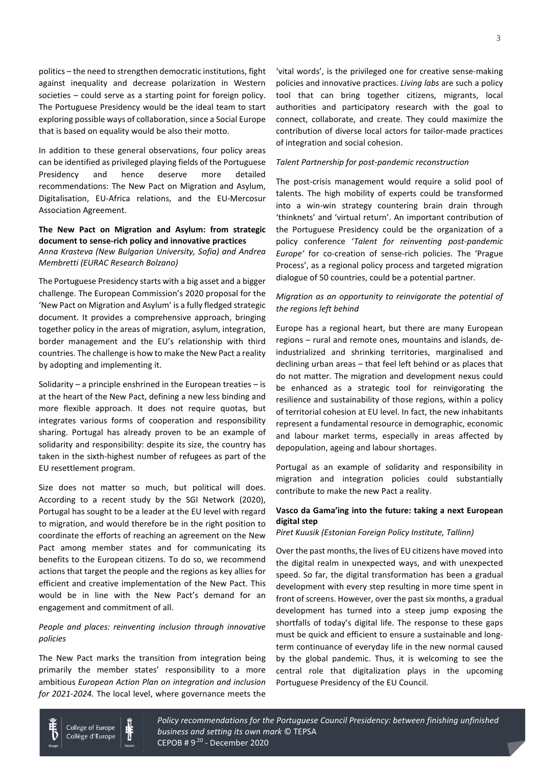politics – the need to strengthen democratic institutions, fight against inequality and decrease polarization in Western societies – could serve as a starting point for foreign policy. The Portuguese Presidency would be the ideal team to start exploring possible ways of collaboration, since a Social Europe that is based on equality would be also their motto.

In addition to these general observations, four policy areas can be identified as privileged playing fields of the Portuguese Presidency and hence deserve more detailed recommendations: The New Pact on Migration and Asylum, Digitalisation, EU-Africa relations, and the EU-Mercosur Association Agreement.

### **The New Pact on Migration and Asylum: from strategic document to sense-rich policy and innovative practices**

*Anna Krasteva (New Bulgarian University, Sofia) and Andrea Membretti (EURAC Research Bolzano)*

The Portuguese Presidency starts with a big asset and a bigger challenge. The European Commission's 2020 proposal for the 'New Pact on Migration and Asylum' is a fully fledged strategic document. It provides a comprehensive approach, bringing together policy in the areas of migration, asylum, integration, border management and the EU's relationship with third countries. The challenge is how to make the New Pact a reality by adopting and implementing it.

Solidarity – a principle enshrined in the European treaties – is at the heart of the New Pact, defining a new less binding and more flexible approach. It does not require quotas, but integrates various forms of cooperation and responsibility sharing. Portugal has already proven to be an example of solidarity and responsibility: despite its size, the country has taken in the sixth-highest number of refugees as part of the EU resettlement program.

Size does not matter so much, but political will does. According to a recent study by the SGI Network (2020), Portugal has sought to be a leader at the EU level with regard to migration, and would therefore be in the right position to coordinate the efforts of reaching an agreement on the New Pact among member states and for communicating its benefits to the European citizens. To do so, we recommend actions that target the people and the regions as key allies for efficient and creative implementation of the New Pact. This would be in line with the New Pact's demand for an engagement and commitment of all.

#### *People and places: reinventing inclusion through innovative policies*

The New Pact marks the transition from integration being primarily the member states' responsibility to a more ambitious *European Action Plan on integration and inclusion for 2021-2024.* The local level, where governance meets the

'vital words', is the privileged one for creative sense-making policies and innovative practices. *Living labs* are such a policy tool that can bring together citizens, migrants, local authorities and participatory research with the goal to connect, collaborate, and create. They could maximize the contribution of diverse local actors for tailor-made practices of integration and social cohesion.

#### *Talent Partnership for post-pandemic reconstruction*

The post-crisis management would require a solid pool of talents. The high mobility of experts could be transformed into a win-win strategy countering brain drain through 'thinknets' and 'virtual return'. An important contribution of the Portuguese Presidency could be the organization of a policy conference '*Talent for reinventing post-pandemic Europe'* for co-creation of sense-rich policies. The 'Prague Process', as a regional policy process and targeted migration dialogue of 50 countries, could be a potential partner.

### *Migration as an opportunity to reinvigorate the potential of the regions left behind*

Europe has a regional heart, but there are many European regions – rural and remote ones, mountains and islands, deindustrialized and shrinking territories, marginalised and declining urban areas – that feel left behind or as places that do not matter. The migration and development nexus could be enhanced as a strategic tool for reinvigorating the resilience and sustainability of those regions, within a policy of territorial cohesion at EU level. In fact, the new inhabitants represent a fundamental resource in demographic, economic and labour market terms, especially in areas affected by depopulation, ageing and labour shortages.

Portugal as an example of solidarity and responsibility in migration and integration policies could substantially contribute to make the new Pact a reality.

### **Vasco da Gama'ing into the future: taking a next European digital step**

*Piret Kuusik (Estonian Foreign Policy Institute, Tallinn)*

Over the past months, the lives of EU citizens have moved into the digital realm in unexpected ways, and with unexpected speed. So far, the digital transformation has been a gradual development with every step resulting in more time spent in front of screens. However, over the past six months, a gradual development has turned into a steep jump exposing the shortfalls of today's digital life. The response to these gaps must be quick and efficient to ensure a sustainable and longterm continuance of everyday life in the new normal caused by the global pandemic. Thus, it is welcoming to see the central role that digitalization plays in the upcoming Portuguese Presidency of the EU Council.



Policy recommendations for the Portuguese Council Presidency: between finishing unfinished © Author name *business and setting its own mark* © TEPSA CEPOB # 9<sup>.20</sup> - December 2020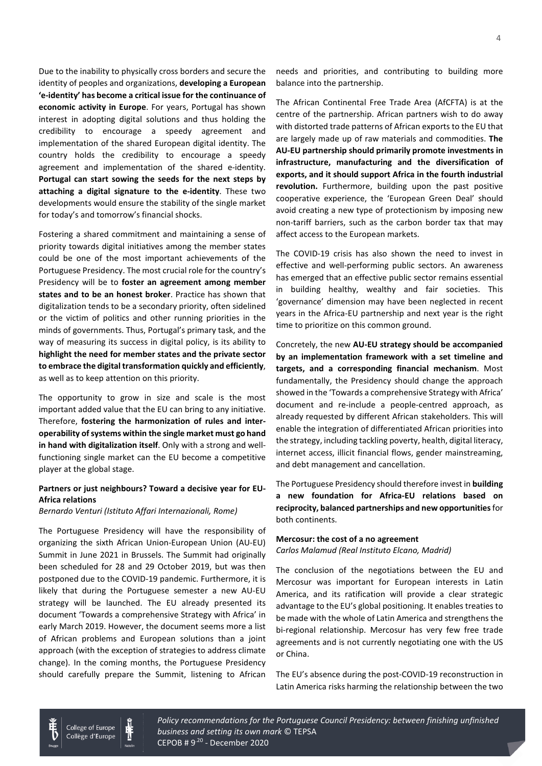Due to the inability to physically cross borders and secure the identity of peoples and organizations, **developing a European 'e-identity' has become a critical issue for the continuance of economic activity in Europe**. For years, Portugal has shown interest in adopting digital solutions and thus holding the credibility to encourage a speedy agreement and implementation of the shared European digital identity. The country holds the credibility to encourage a speedy agreement and implementation of the shared e-identity. **Portugal can start sowing the seeds for the next steps by attaching a digital signature to the e-identity**. These two developments would ensure the stability of the single market for today's and tomorrow's financial shocks.

Fostering a shared commitment and maintaining a sense of priority towards digital initiatives among the member states could be one of the most important achievements of the Portuguese Presidency. The most crucial role for the country's Presidency will be to **foster an agreement among member states and to be an honest broker**. Practice has shown that digitalization tends to be a secondary priority, often sidelined or the victim of politics and other running priorities in the minds of governments. Thus, Portugal's primary task, and the way of measuring its success in digital policy, is its ability to **highlight the need for member states and the private sector to embrace the digital transformation quickly and efficiently**, as well as to keep attention on this priority.

The opportunity to grow in size and scale is the most important added value that the EU can bring to any initiative. Therefore, **fostering the harmonization of rules and interoperability of systems within the single market must go hand in hand with digitalization itself**. Only with a strong and wellfunctioning single market can the EU become a competitive player at the global stage.

### **Partners or just neighbours? Toward a decisive year for EU-Africa relations**

*Bernardo Venturi (Istituto Affari Internazionali, Rome)*

The Portuguese Presidency will have the responsibility of organizing the sixth African Union-European Union (AU-EU) Summit in June 2021 in Brussels. The Summit had originally been scheduled for 28 and 29 October 2019, but was then postponed due to the COVID-19 pandemic. Furthermore, it is likely that during the Portuguese semester a new AU-EU strategy will be launched. The EU already presented its document 'Towards a comprehensive Strategy with Africa' in early March 2019. However, the document seems more a list of African problems and European solutions than a joint approach (with the exception of strategies to address climate change). In the coming months, the Portuguese Presidency should carefully prepare the Summit, listening to African needs and priorities, and contributing to building more balance into the partnership.

The African Continental Free Trade Area (AfCFTA) is at the centre of the partnership. African partners wish to do away with distorted trade patterns of African exports to the EU that are largely made up of raw materials and commodities. **The AU-EU partnership should primarily promote investments in infrastructure, manufacturing and the diversification of exports, and it should support Africa in the fourth industrial revolution.** Furthermore, building upon the past positive cooperative experience, the 'European Green Deal' should avoid creating a new type of protectionism by imposing new non-tariff barriers, such as the carbon border tax that may affect access to the European markets.

The COVID-19 crisis has also shown the need to invest in effective and well-performing public sectors. An awareness has emerged that an effective public sector remains essential in building healthy, wealthy and fair societies. This 'governance' dimension may have been neglected in recent years in the Africa-EU partnership and next year is the right time to prioritize on this common ground.

Concretely, the new **AU-EU strategy should be accompanied by an implementation framework with a set timeline and targets, and a corresponding financial mechanism**. Most fundamentally, the Presidency should change the approach showed in the 'Towards a comprehensive Strategy with Africa' document and re-include a people-centred approach, as already requested by different African stakeholders. This will enable the integration of differentiated African priorities into the strategy, including tackling poverty, health, digital literacy, internet access, illicit financial flows, gender mainstreaming, and debt management and cancellation.

The Portuguese Presidency should therefore invest in **building a new foundation for Africa-EU relations based on reciprocity, balanced partnerships and new opportunities**for both continents.

#### **Mercosur: the cost of a no agreement** *Carlos Malamud (Real Instituto Elcano, Madrid)*

The conclusion of the negotiations between the EU and Mercosur was important for European interests in Latin America, and its ratification will provide a clear strategic advantage to the EU's global positioning. It enables treaties to be made with the whole of Latin America and strengthens the bi-regional relationship. Mercosur has very few free trade agreements and is not currently negotiating one with the US or China.

The EU's absence during the post-COVID-19 reconstruction in Latin America risks harming the relationship between the two

College of Europe